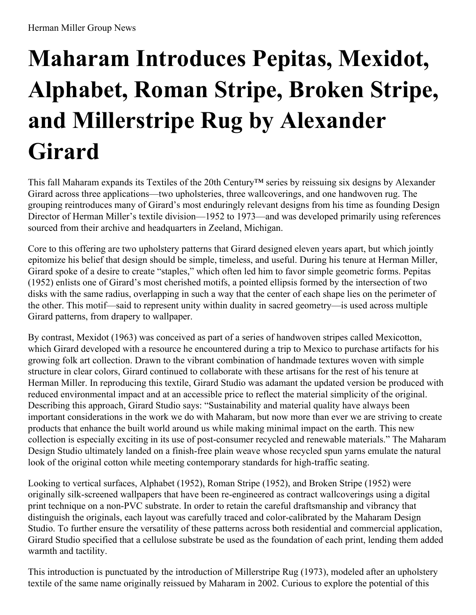## **Maharam Introduces Pepitas, Mexidot, Alphabet, Roman Stripe, Broken Stripe, and Millerstripe Rug by Alexander Girard**

This fall Maharam expands its Textiles of the 20th Century™ series by reissuing six designs by Alexander Girard across three applications—two upholsteries, three wallcoverings, and one handwoven rug. The grouping reintroduces many of Girard's most enduringly relevant designs from his time as founding Design Director of Herman Miller's textile division—1952 to 1973—and was developed primarily using references sourced from their archive and headquarters in Zeeland, Michigan.

Core to this offering are two upholstery patterns that Girard designed eleven years apart, but which jointly epitomize his belief that design should be simple, timeless, and useful. During his tenure at Herman Miller, Girard spoke of a desire to create "staples," which often led him to favor simple geometric forms. Pepitas (1952) enlists one of Girard's most cherished motifs, a pointed ellipsis formed by the intersection of two disks with the same radius, overlapping in such a way that the center of each shape lies on the perimeter of the other. This motif—said to represent unity within duality in sacred geometry—is used across multiple Girard patterns, from drapery to wallpaper.

By contrast, Mexidot (1963) was conceived as part of a series of handwoven stripes called Mexicotton, which Girard developed with a resource he encountered during a trip to Mexico to purchase artifacts for his growing folk art collection. Drawn to the vibrant combination of handmade textures woven with simple structure in clear colors, Girard continued to collaborate with these artisans for the rest of his tenure at Herman Miller. In reproducing this textile, Girard Studio was adamant the updated version be produced with reduced environmental impact and at an accessible price to reflect the material simplicity of the original. Describing this approach, Girard Studio says: "Sustainability and material quality have always been important considerations in the work we do with Maharam, but now more than ever we are striving to create products that enhance the built world around us while making minimal impact on the earth. This new collection is especially exciting in its use of post-consumer recycled and renewable materials." The Maharam Design Studio ultimately landed on a finish-free plain weave whose recycled spun yarns emulate the natural look of the original cotton while meeting contemporary standards for high-traffic seating.

Looking to vertical surfaces, Alphabet (1952), Roman Stripe (1952), and Broken Stripe (1952) were originally silk-screened wallpapers that have been re-engineered as contract wallcoverings using a digital print technique on a non-PVC substrate. In order to retain the careful draftsmanship and vibrancy that distinguish the originals, each layout was carefully traced and color-calibrated by the Maharam Design Studio. To further ensure the versatility of these patterns across both residential and commercial application, Girard Studio specified that a cellulose substrate be used as the foundation of each print, lending them added warmth and tactility.

This introduction is punctuated by the introduction of Millerstripe Rug (1973), modeled after an upholstery textile of the same name originally reissued by Maharam in 2002. Curious to explore the potential of this